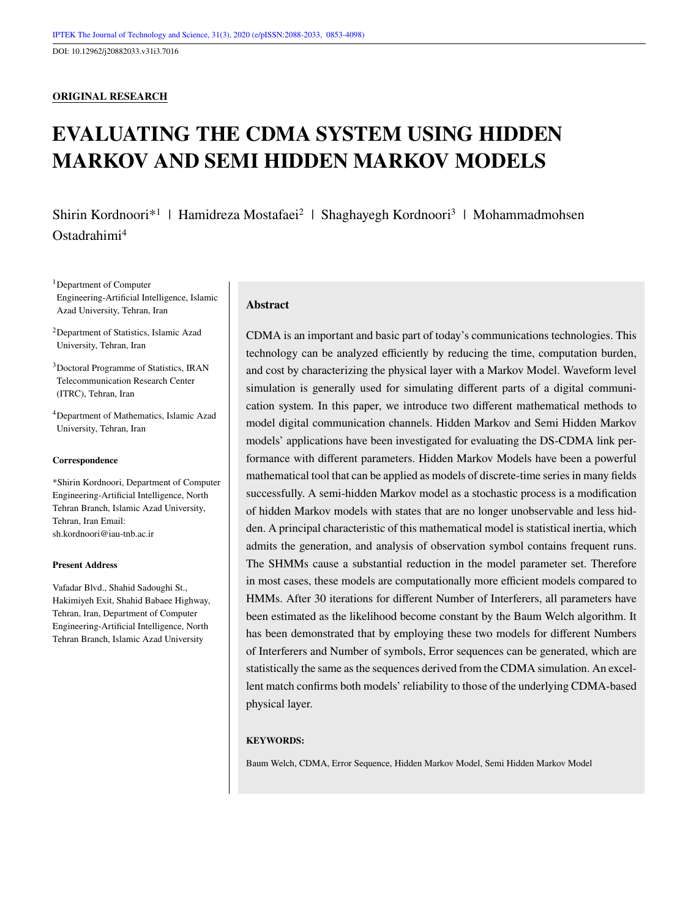DOI: 10.12962/j20882033.v31i3.7016

#### **ORIGINAL RESEARCH**

# **EVALUATING THE CDMA SYSTEM USING HIDDEN MARKOV AND SEMI HIDDEN MARKOV MODELS**

Shirin Kordnoori\*<sup>1</sup> | Hamidreza Mostafaei<sup>2</sup> | Shaghayegh Kordnoori<sup>3</sup> | Mohammadmohsen Ostadrahimi<sup>4</sup>

<sup>1</sup>Department of Computer Engineering-Artificial Intelligence, Islamic Azad University, Tehran, Iran

<sup>2</sup>Department of Statistics, Islamic Azad University, Tehran, Iran

<sup>3</sup>Doctoral Programme of Statistics, IRAN Telecommunication Research Center (ITRC), Tehran, Iran

<sup>4</sup>Department of Mathematics, Islamic Azad University, Tehran, Iran

#### **Correspondence**

\*Shirin Kordnoori, Department of Computer Engineering-Artificial Intelligence, North Tehran Branch, Islamic Azad University, Tehran, Iran Email: sh.kordnoori@iau-tnb.ac.ir

#### **Present Address**

Vafadar Blvd., Shahid Sadoughi St., Hakimiyeh Exit, Shahid Babaee Highway, Tehran, Iran, Department of Computer Engineering-Artificial Intelligence, North Tehran Branch, Islamic Azad University

#### **Abstract**

CDMA is an important and basic part of today's communications technologies. This technology can be analyzed efficiently by reducing the time, computation burden, and cost by characterizing the physical layer with a Markov Model. Waveform level simulation is generally used for simulating different parts of a digital communication system. In this paper, we introduce two different mathematical methods to model digital communication channels. Hidden Markov and Semi Hidden Markov models' applications have been investigated for evaluating the DS-CDMA link performance with different parameters. Hidden Markov Models have been a powerful mathematical tool that can be applied as models of discrete-time series in many fields successfully. A semi-hidden Markov model as a stochastic process is a modification of hidden Markov models with states that are no longer unobservable and less hidden. A principal characteristic of this mathematical model is statistical inertia, which admits the generation, and analysis of observation symbol contains frequent runs. The SHMMs cause a substantial reduction in the model parameter set. Therefore in most cases, these models are computationally more efficient models compared to HMMs. After 30 iterations for different Number of Interferers, all parameters have been estimated as the likelihood become constant by the Baum Welch algorithm. It has been demonstrated that by employing these two models for different Numbers of Interferers and Number of symbols, Error sequences can be generated, which are statistically the same as the sequences derived from the CDMA simulation. An excellent match confirms both models' reliability to those of the underlying CDMA-based physical layer.

#### **KEYWORDS:**

Baum Welch, CDMA, Error Sequence, Hidden Markov Model, Semi Hidden Markov Model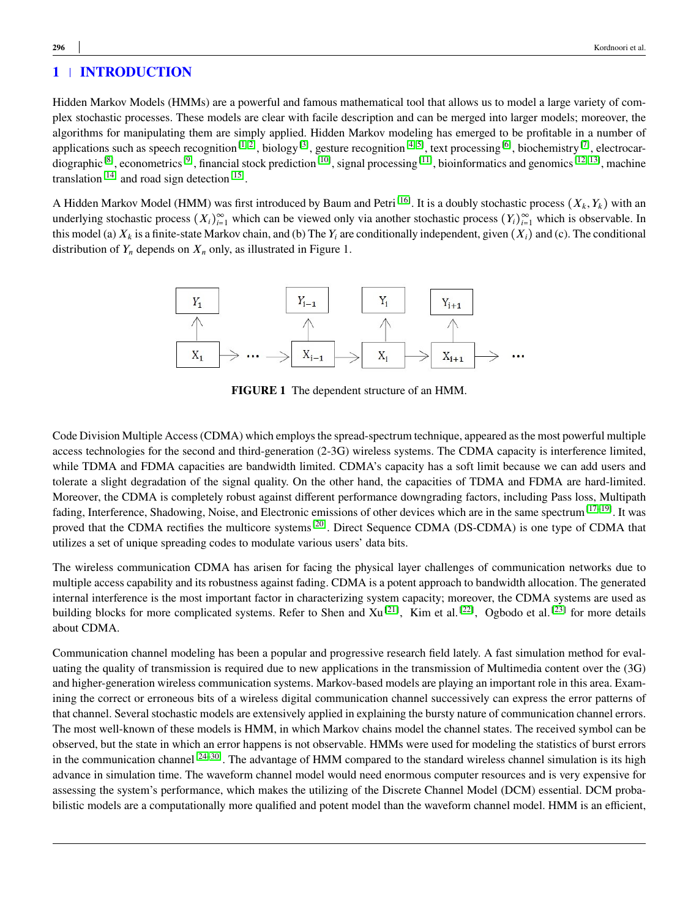Hidden Markov Models (HMMs) are a powerful and famous mathematical tool that allows us to model a large variety of complex stochastic processes. These models are clear with facile description and can be merged into larger models; moreover, the algorithms for manipulating them are simply applied. Hidden Markov modeling has emerged to be profitable in a number of applications such as speech recognition<sup>[\[1,](#page-12-0) [2\]](#page-12-1)</sup>, biology<sup>[\[3\]](#page-12-2)</sup>, gesture recognition<sup>[\[4,](#page-12-3) [5\]](#page-12-4)</sup>, text processing<sup>[\[6\]](#page-12-5)</sup>, biochemistry<sup>[\[7\]](#page-12-6)</sup>, electrocar-diographic<sup>[\[8\]](#page-12-7)</sup>, econometrics<sup>[\[9\]](#page-12-8)</sup>, financial stock prediction<sup>[\[10\]](#page-12-9)</sup>, signal processing<sup>[\[11\]](#page-12-10)</sup>, bioinformatics and genomics<sup>[\[12,](#page-12-11) [13\]](#page-12-12)</sup>, machine translation<sup>[\[14\]](#page-12-13)</sup> and road sign detection<sup>[\[15\]](#page-12-14)</sup>.

A Hidden Markov Model (HMM) was first introduced by Baum and Petri<sup>[\[16\]](#page-12-15)</sup>. It is a doubly stochastic process  $(X_k, Y_k)$  with an underlying stochastic process  $(X_i)_{i=1}^{\infty}$  which can be viewed only via another stochastic process  $(Y_i)_{i=1}^{\infty}$  which is observable. In this model (a)  $X_k$  is a finite-state Markov chain, and (b) The  $Y_i$  are conditionally independent, given  $(X_i)$  and (c). The conditional distribution of  $Y_n$  depends on  $X_n$  only, as illustrated in Figure 1.



**FIGURE 1** The dependent structure of an HMM.

Code Division Multiple Access (CDMA) which employs the spread-spectrum technique, appeared as the most powerful multiple access technologies for the second and third-generation (2-3G) wireless systems. The CDMA capacity is interference limited, while TDMA and FDMA capacities are bandwidth limited. CDMA's capacity has a soft limit because we can add users and tolerate a slight degradation of the signal quality. On the other hand, the capacities of TDMA and FDMA are hard-limited. Moreover, the CDMA is completely robust against different performance downgrading factors, including Pass loss, Multipath fading, Interference, Shadowing, Noise, and Electronic emissions of other devices which are in the same spectrum<sup>[\[17–](#page-13-0)[19\]](#page-13-1)</sup>. It was proved that the CDMA rectifies the multicore systems<sup>[\[20\]](#page-13-2)</sup>. Direct Sequence CDMA (DS-CDMA) is one type of CDMA that utilizes a set of unique spreading codes to modulate various users' data bits.

The wireless communication CDMA has arisen for facing the physical layer challenges of communication networks due to multiple access capability and its robustness against fading. CDMA is a potent approach to bandwidth allocation. The generated internal interference is the most important factor in characterizing system capacity; moreover, the CDMA systems are used as building blocks for more complicated systems. Refer to Shen and Xu<sup>[\[21\]](#page-13-3)</sup>, Kim et al.<sup>[\[22\]](#page-13-4)</sup>, Ogbodo et al.<sup>[\[23\]](#page-13-5)</sup> for more details about CDMA.

Communication channel modeling has been a popular and progressive research field lately. A fast simulation method for evaluating the quality of transmission is required due to new applications in the transmission of Multimedia content over the (3G) and higher-generation wireless communication systems. Markov-based models are playing an important role in this area. Examining the correct or erroneous bits of a wireless digital communication channel successively can express the error patterns of that channel. Several stochastic models are extensively applied in explaining the bursty nature of communication channel errors. The most well-known of these models is HMM, in which Markov chains model the channel states. The received symbol can be observed, but the state in which an error happens is not observable. HMMs were used for modeling the statistics of burst errors in the communication channel<sup>[\[24–](#page-13-6)[30\]](#page-13-7)</sup>. The advantage of HMM compared to the standard wireless channel simulation is its high advance in simulation time. The waveform channel model would need enormous computer resources and is very expensive for assessing the system's performance, which makes the utilizing of the Discrete Channel Model (DCM) essential. DCM probabilistic models are a computationally more qualified and potent model than the waveform channel model. HMM is an efficient,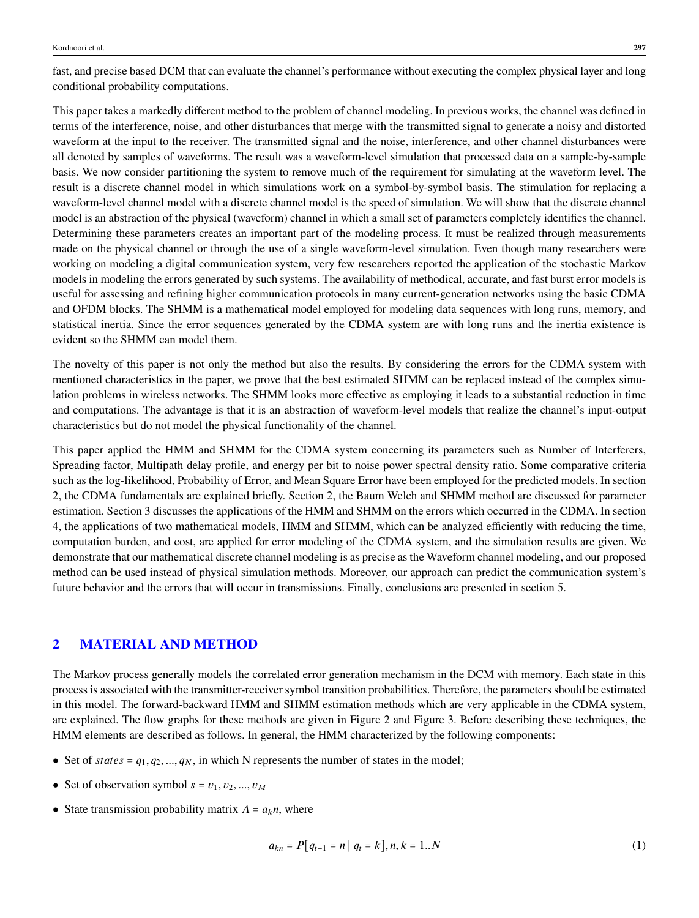fast, and precise based DCM that can evaluate the channel's performance without executing the complex physical layer and long conditional probability computations.

This paper takes a markedly different method to the problem of channel modeling. In previous works, the channel was defined in terms of the interference, noise, and other disturbances that merge with the transmitted signal to generate a noisy and distorted waveform at the input to the receiver. The transmitted signal and the noise, interference, and other channel disturbances were all denoted by samples of waveforms. The result was a waveform-level simulation that processed data on a sample-by-sample basis. We now consider partitioning the system to remove much of the requirement for simulating at the waveform level. The result is a discrete channel model in which simulations work on a symbol-by-symbol basis. The stimulation for replacing a waveform-level channel model with a discrete channel model is the speed of simulation. We will show that the discrete channel model is an abstraction of the physical (waveform) channel in which a small set of parameters completely identifies the channel. Determining these parameters creates an important part of the modeling process. It must be realized through measurements made on the physical channel or through the use of a single waveform-level simulation. Even though many researchers were working on modeling a digital communication system, very few researchers reported the application of the stochastic Markov models in modeling the errors generated by such systems. The availability of methodical, accurate, and fast burst error models is useful for assessing and refining higher communication protocols in many current-generation networks using the basic CDMA and OFDM blocks. The SHMM is a mathematical model employed for modeling data sequences with long runs, memory, and statistical inertia. Since the error sequences generated by the CDMA system are with long runs and the inertia existence is evident so the SHMM can model them.

The novelty of this paper is not only the method but also the results. By considering the errors for the CDMA system with mentioned characteristics in the paper, we prove that the best estimated SHMM can be replaced instead of the complex simulation problems in wireless networks. The SHMM looks more effective as employing it leads to a substantial reduction in time and computations. The advantage is that it is an abstraction of waveform-level models that realize the channel's input-output characteristics but do not model the physical functionality of the channel.

This paper applied the HMM and SHMM for the CDMA system concerning its parameters such as Number of Interferers, Spreading factor, Multipath delay profile, and energy per bit to noise power spectral density ratio. Some comparative criteria such as the log-likelihood, Probability of Error, and Mean Square Error have been employed for the predicted models. In section 2, the CDMA fundamentals are explained briefly. Section 2, the Baum Welch and SHMM method are discussed for parameter estimation. Section 3 discusses the applications of the HMM and SHMM on the errors which occurred in the CDMA. In section 4, the applications of two mathematical models, HMM and SHMM, which can be analyzed efficiently with reducing the time, computation burden, and cost, are applied for error modeling of the CDMA system, and the simulation results are given. We demonstrate that our mathematical discrete channel modeling is as precise as the Waveform channel modeling, and our proposed method can be used instead of physical simulation methods. Moreover, our approach can predict the communication system's future behavior and the errors that will occur in transmissions. Finally, conclusions are presented in section 5.

# **2 MATERIAL AND METHOD**

The Markov process generally models the correlated error generation mechanism in the DCM with memory. Each state in this process is associated with the transmitter-receiver symbol transition probabilities. Therefore, the parameters should be estimated in this model. The forward-backward HMM and SHMM estimation methods which are very applicable in the CDMA system, are explained. The flow graphs for these methods are given in Figure 2 and Figure 3. Before describing these techniques, the HMM elements are described as follows. In general, the HMM characterized by the following components:

- Set of *states* =  $q_1, q_2, ..., q_N$ , in which N represents the number of states in the model;
- Set of observation symbol  $s = v_1, v_2, ..., v_M$
- State transmission probability matrix  $A = a_k n$ , where

$$
a_{kn} = P[q_{t+1} = n \mid q_t = k], n, k = 1..N
$$
 (1)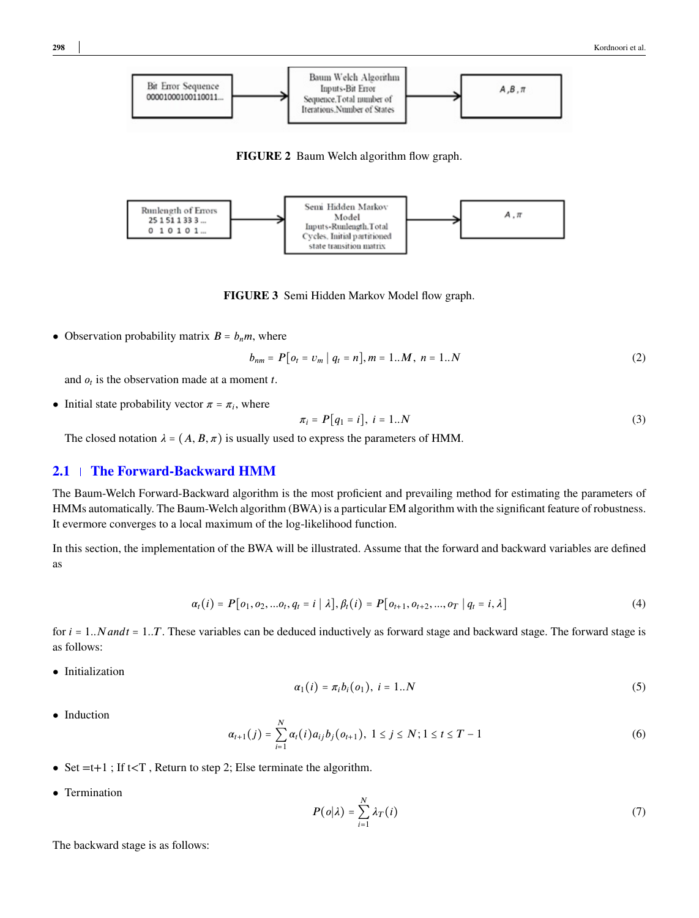<span id="page-3-0"></span>

**FIGURE 2** Baum Welch algorithm flow graph.



**FIGURE 3** Semi Hidden Markov Model flow graph.

• Observation probability matrix  $B = b_n m$ , where

$$
b_{nm} = P[o_t = v_m \mid q_t = n], m = 1..M, n = 1..N
$$
\n(2)

and  $o_t$  is the observation made at a moment *t*.

• Initial state probability vector  $\pi = \pi_i$ , where

$$
\pi_i = P[q_1 = i], \ i = 1..N \tag{3}
$$

The closed notation  $\lambda = (A, B, \pi)$  is usually used to express the parameters of HMM.

## **2.1 The Forward-Backward HMM**

The Baum-Welch Forward-Backward algorithm is the most proficient and prevailing method for estimating the parameters of HMMs automatically. The Baum-Welch algorithm (BWA) is a particular EM algorithm with the significant feature of robustness. It evermore converges to a local maximum of the log-likelihood function.

In this section, the implementation of the BWA will be illustrated. Assume that the forward and backward variables are defined as

$$
\alpha_t(i) = P[o_1, o_2, \dots o_t, q_t = i | \lambda], \beta_t(i) = P[o_{t+1}, o_{t+2}, \dots, o_T | q_t = i, \lambda]
$$
\n(4)

for  $i = 1..N$  *andt* = 1..*T*. These variables can be deduced inductively as forward stage and backward stage. The forward stage is as follows:

• Initialization

$$
\alpha_1(i) = \pi_i b_i(o_1), \ i = 1..N \tag{5}
$$

• Induction

$$
\alpha_{t+1}(j) = \sum_{i=1}^{N} \alpha_{t}(i) a_{ij} b_{j}(o_{t+1}), \ 1 \leq j \leq N; 1 \leq t \leq T-1
$$
\n(6)

- Set  $=t+1$ ; If  $t < T$ , Return to step 2; Else terminate the algorithm.
- Termination

$$
P(o|\lambda) = \sum_{i=1}^{N} \lambda_T(i) \tag{7}
$$

The backward stage is as follows: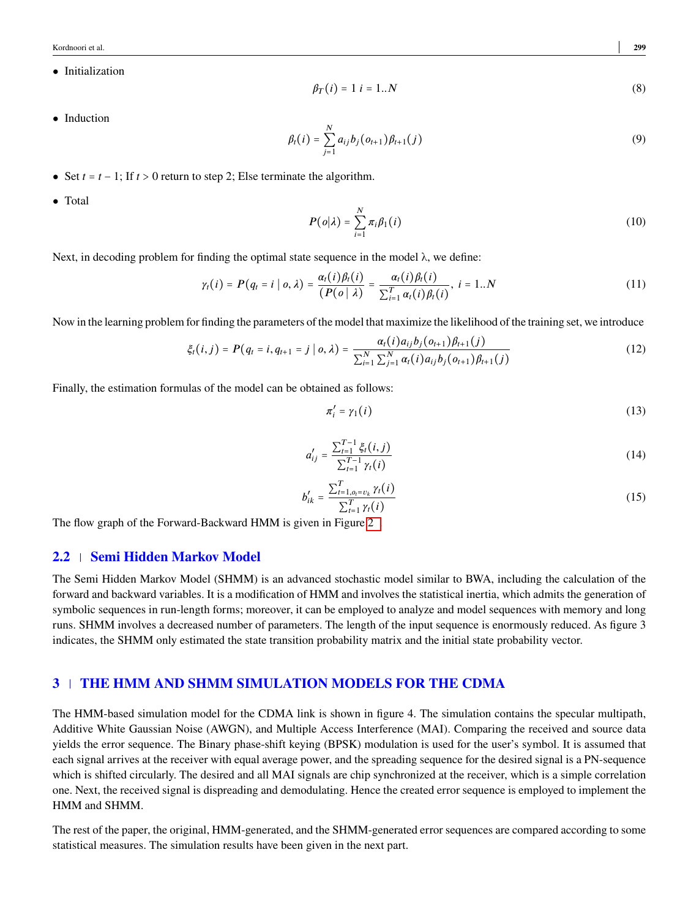Kordnoori et al. **299**

• Initialization

$$
\beta_T(i) = 1 \ i = 1..N \tag{8}
$$

• Induction

$$
\beta_t(i) = \sum_{j=1}^N a_{ij} b_j(o_{t+1}) \beta_{t+1}(j)
$$
\n(9)

- Set  $t = t 1$ ; If  $t > 0$  return to step 2; Else terminate the algorithm.
- Total

$$
P(o|\lambda) = \sum_{i=1}^{N} \pi_i \beta_1(i)
$$
 (10)

Next, in decoding problem for finding the optimal state sequence in the model  $\lambda$ , we define:

$$
\gamma_t(i) = P(q_t = i \mid o, \lambda) = \frac{\alpha_t(i)\beta_t(i)}{(P(o \mid \lambda)} = \frac{\alpha_t(i)\beta_t(i)}{\sum_{i=1}^T \alpha_t(i)\beta_t(i)}, \ i = 1..N
$$
\n(11)

Now in the learning problem for finding the parameters of the model that maximize the likelihood of the training set, we introduce

$$
\xi_t(i,j) = P(q_t = i, q_{t+1} = j \mid o, \lambda) = \frac{\alpha_t(i) a_{ij} b_j(o_{t+1}) \beta_{t+1}(j)}{\sum_{i=1}^N \sum_{j=1}^N \alpha_t(i) a_{ij} b_j(o_{t+1}) \beta_{t+1}(j)}
$$
(12)

Finally, the estimation formulas of the model can be obtained as follows:

$$
\pi_i' = \gamma_1(i) \tag{13}
$$

$$
a'_{ij} = \frac{\sum_{t=1}^{T-1} \xi_t(i,j)}{\sum_{t=1}^{T-1} \gamma_t(i)}\tag{14}
$$

$$
b'_{ik} = \frac{\sum_{t=1,o_i=v_k}^{T} \gamma_t(i)}{\sum_{t=1}^{T} \gamma_t(i)}
$$
(15)

The flow graph of the Forward-Backward HMM is given in Figure [2 .](#page-3-0)

### **2.2 Semi Hidden Markov Model**

The Semi Hidden Markov Model (SHMM) is an advanced stochastic model similar to BWA, including the calculation of the forward and backward variables. It is a modification of HMM and involves the statistical inertia, which admits the generation of symbolic sequences in run-length forms; moreover, it can be employed to analyze and model sequences with memory and long runs. SHMM involves a decreased number of parameters. The length of the input sequence is enormously reduced. As figure 3 indicates, the SHMM only estimated the state transition probability matrix and the initial state probability vector.

## **3 THE HMM AND SHMM SIMULATION MODELS FOR THE CDMA**

The HMM-based simulation model for the CDMA link is shown in figure 4. The simulation contains the specular multipath, Additive White Gaussian Noise (AWGN), and Multiple Access Interference (MAI). Comparing the received and source data yields the error sequence. The Binary phase-shift keying (BPSK) modulation is used for the user's symbol. It is assumed that each signal arrives at the receiver with equal average power, and the spreading sequence for the desired signal is a PN-sequence which is shifted circularly. The desired and all MAI signals are chip synchronized at the receiver, which is a simple correlation one. Next, the received signal is dispreading and demodulating. Hence the created error sequence is employed to implement the HMM and SHMM.

The rest of the paper, the original, HMM-generated, and the SHMM-generated error sequences are compared according to some statistical measures. The simulation results have been given in the next part.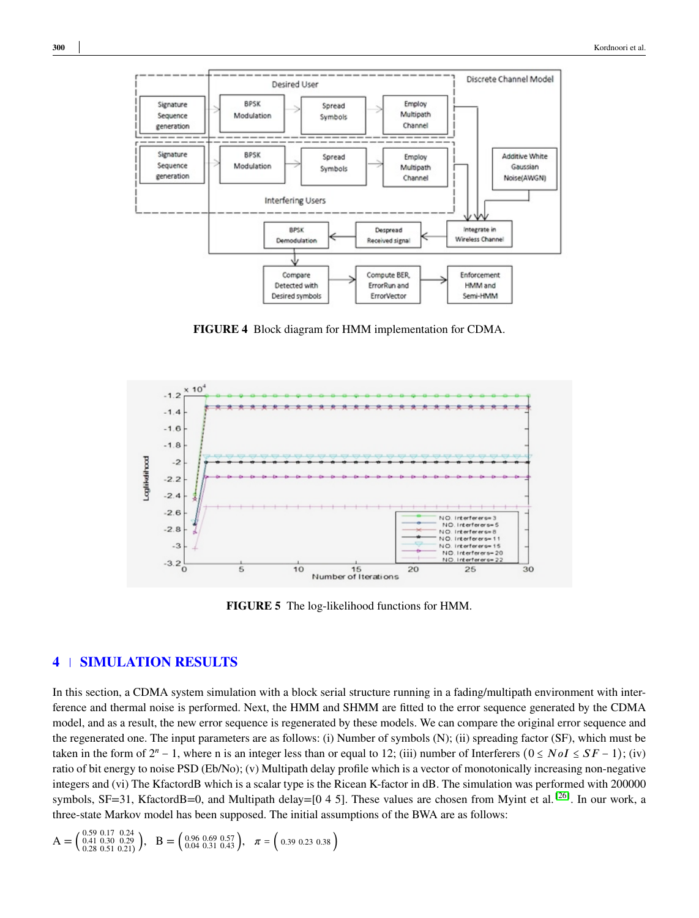

**FIGURE 4** Block diagram for HMM implementation for CDMA.



**FIGURE 5** The log-likelihood functions for HMM.

## **4 SIMULATION RESULTS**

In this section, a CDMA system simulation with a block serial structure running in a fading/multipath environment with interference and thermal noise is performed. Next, the HMM and SHMM are fitted to the error sequence generated by the CDMA model, and as a result, the new error sequence is regenerated by these models. We can compare the original error sequence and the regenerated one. The input parameters are as follows: (i) Number of symbols (N); (ii) spreading factor (SF), which must be taken in the form of  $2^n - 1$ , where n is an integer less than or equal to 12; (iii) number of Interferers  $(0 \leq N \cdot oI \leq SF - 1)$ ; (iv) ratio of bit energy to noise PSD (Eb/No); (v) Multipath delay profile which is a vector of monotonically increasing non-negative integers and (vi) The KfactordB which is a scalar type is the Ricean K-factor in dB. The simulation was performed with 200000 symbols, SF=31, KfactordB=0, and Multipath delay=[0 4 5]. These values are chosen from Myint et al.<sup>[\[26\]](#page-13-8)</sup>. In our work, a three-state Markov model has been supposed. The initial assumptions of the BWA are as follows:

$$
A = \begin{pmatrix} 0.59 & 0.17 & 0.24 \\ 0.41 & 0.30 & 0.29 \\ 0.28 & 0.51 & 0.21 \end{pmatrix}, \quad B = \begin{pmatrix} 0.96 & 0.69 & 0.57 \\ 0.04 & 0.31 & 0.43 \end{pmatrix}, \quad \pi = \begin{pmatrix} 0.39 & 0.23 & 0.38 \end{pmatrix}
$$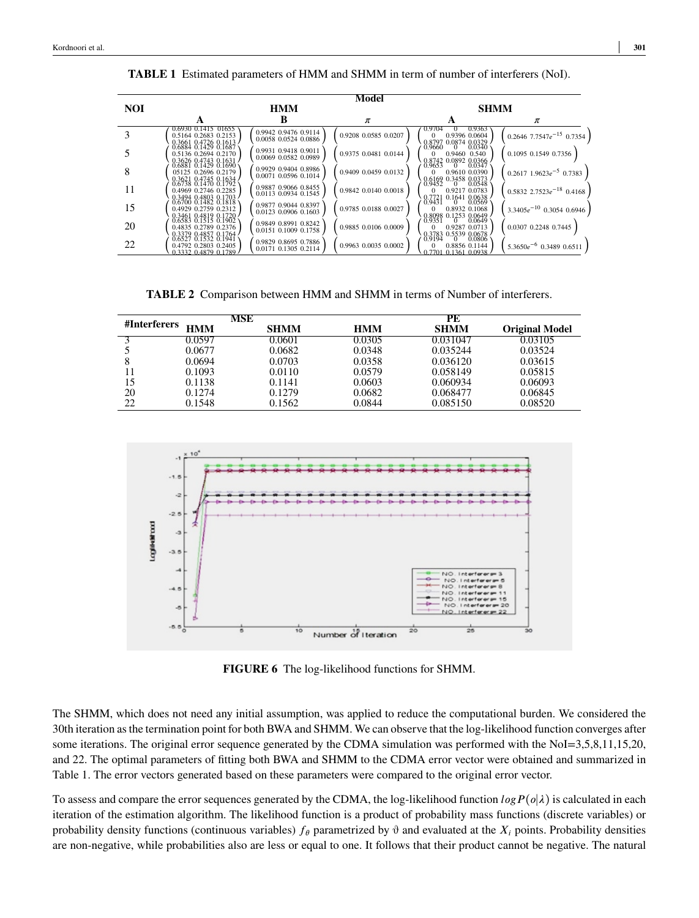|            |                                                                      |                                              | Model                |                                                                                   |                                  |  |
|------------|----------------------------------------------------------------------|----------------------------------------------|----------------------|-----------------------------------------------------------------------------------|----------------------------------|--|
| <b>NOI</b> | <b>HMM</b>                                                           |                                              |                      | <b>SHMM</b>                                                                       |                                  |  |
|            |                                                                      |                                              | $\pi$                |                                                                                   | π                                |  |
|            | 0.6930 0.1415 01655<br>0.5164 0.2683 0.2153<br>0.3661 0.4726 0.1613  | 0.9942 0.9476 0.9114<br>0.0058 0.0524 0.0886 | 0.9208 0.0585 0.0207 | 0.9363<br>0.9704<br>$\Omega$<br>0.9396 0.0604<br>0.8797 0.0874 0.0329             | $0.2646$ 7.7547 $e^{-15}$ 0.7354 |  |
|            | 0.6884 0.1429 0.1687<br>0.5136 0.2694 0.2170<br>0.3626 0.4743 0.1631 | 0.9931 0.9418 0.9011<br>0.0069 0.0582 0.0989 | 0.9375 0.0481 0.0144 | 0.9660<br>0.0340<br>$\theta$<br>0.9460 0.540<br>0.8742 0.0892 0.0366              | 0.1095 0.1549 0.7356             |  |
| 8          | 05125 0.2696 0.2179<br>0.3621 0.4745 0.1634                          | 0.9929 0.9404 0.8986<br>0.0071 0.0596 0.1014 | 0.9409 0.0459 0.0132 | 0.9610 0.0390<br>0.6169 0.3458 0.0373                                             | $0.2617$ 1.9623 $e^{-5}$ 0.7383  |  |
| 11         | 0.4969 0.2746 0.2285<br>0.3494 0.4803 0.1703                         | 0.9887 0.9066 0.8455<br>0.0113 0.0934 0.1545 | 0.9842 0.0140 0.0018 | 0.9452<br>0.0548<br>$\overline{0}$<br>0.9217 0.0783<br>0.1641 0.0638<br>8:3721    | $0.5832$ 2.7523 $e^{-18}$ 0.4168 |  |
| 15         | 0.4929 0.2759 0.2312                                                 | 0.9877 0.9044 0.8397<br>0.0123 0.0906 0.1603 | 0.9785 0.0188 0.0027 | $-0.0569$<br>$\Omega$<br>0.8932 0.1068<br>0.8098 0.1253 0.0649<br>0.9351 0.0649   | $3.3405e^{-10}$ 0.3054 0.6946    |  |
| 20         | 0.4835 0.2789 0.2376<br>0.3379 0.4857 0.1764                         | 0.9849 0.8991 0.8242<br>0.0151 0.1009 0.1758 | 0.9885 0.0106 0.0009 | 0.9287 0.0713<br>0.3783 0.5539 0.0678                                             | 0.0307 0.2248 0.7445             |  |
| 22         | 0.6527 0.1532 0.1941<br>0.4792 0.2803 0.2405<br>0.3332 0.4879 0.1789 | 0.9829 0.8695 0.7886<br>0.0171 0.1305 0.2114 | 0.9963 0.0035 0.0002 | 0.0806<br>0.9194<br>$\mathbf{0}$<br>0.8856 0.1144<br>$0.7701$ $0.1361$ $0.0938$ . | $5.3650e^{-6}$ 0.3489 0.6511     |  |

**TABLE 1** Estimated parameters of HMM and SHMM in term of number of interferers (NoI).

**TABLE 2** Comparison between HMM and SHMM in terms of Number of interferers.

| #Interferers |            | MSE         |            | PE          |                       |
|--------------|------------|-------------|------------|-------------|-----------------------|
|              | <b>HMM</b> | <b>SHMM</b> | <b>HMM</b> | <b>SHMM</b> | <b>Original Model</b> |
|              | 0.0597     | 0.0601      | 0.0305     | 0.031047    | 0.03105               |
|              | 0.0677     | 0.0682      | 0.0348     | 0.035244    | 0.03524               |
| 8            | 0.0694     | 0.0703      | 0.0358     | 0.036120    | 0.03615               |
|              | 0.1093     | 0.0110      | 0.0579     | 0.058149    | 0.05815               |
| 15           | 0.1138     | 0.1141      | 0.0603     | 0.060934    | 0.06093               |
| 20           | 0.1274     | 0.1279      | 0.0682     | 0.068477    | 0.06845               |
| 22           | 0.1548     | 0.1562      | 0.0844     | 0.085150    | 0.08520               |



**FIGURE 6** The log-likelihood functions for SHMM.

The SHMM, which does not need any initial assumption, was applied to reduce the computational burden. We considered the 30th iteration as the termination point for both BWA and SHMM. We can observe that the log-likelihood function converges after some iterations. The original error sequence generated by the CDMA simulation was performed with the NoI=3,5,8,11,15,20, and 22. The optimal parameters of fitting both BWA and SHMM to the CDMA error vector were obtained and summarized in Table 1. The error vectors generated based on these parameters were compared to the original error vector.

To assess and compare the error sequences generated by the CDMA, the log-likelihood function  $log P(\rho|\lambda)$  is calculated in each iteration of the estimation algorithm. The likelihood function is a product of probability mass functions (discrete variables) or probability density functions (continuous variables)  $f_{\theta}$  parametrized by  $\theta$  and evaluated at the  $X_i$  points. Probability densities are non-negative, while probabilities also are less or equal to one. It follows that their product cannot be negative. The natural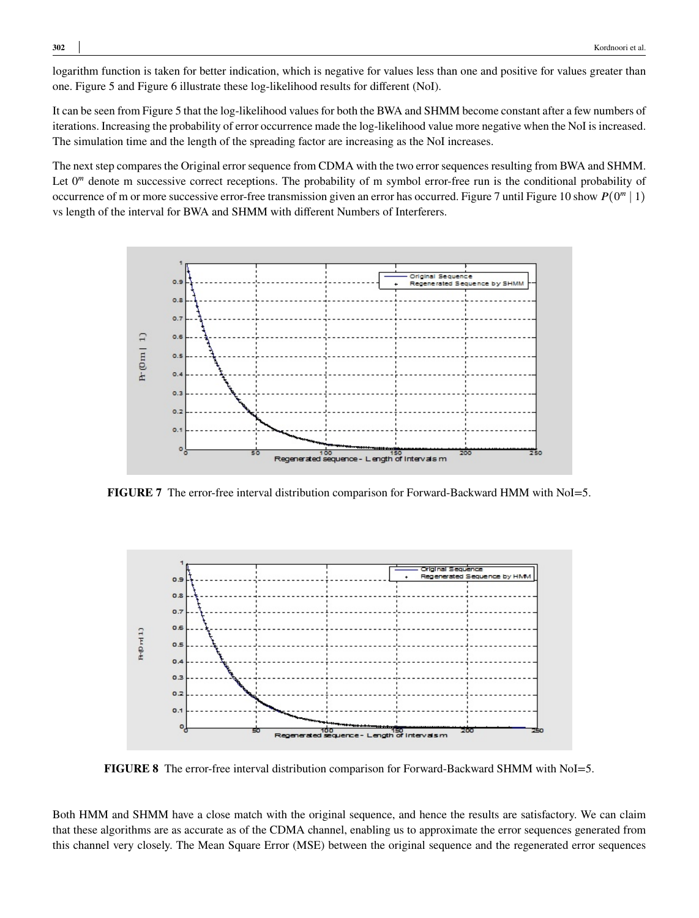logarithm function is taken for better indication, which is negative for values less than one and positive for values greater than one. Figure 5 and Figure 6 illustrate these log-likelihood results for different (NoI).

It can be seen from Figure 5 that the log-likelihood values for both the BWA and SHMM become constant after a few numbers of iterations. Increasing the probability of error occurrence made the log-likelihood value more negative when the NoI is increased. The simulation time and the length of the spreading factor are increasing as the NoI increases.

The next step compares the Original error sequence from CDMA with the two error sequences resulting from BWA and SHMM. Let 0<sup>m</sup> denote m successive correct receptions. The probability of m symbol error-free run is the conditional probability of occurrence of m or more successive error-free transmission given an error has occurred. Figure 7 until Figure 10 show  $P(0^m | 1)$ vs length of the interval for BWA and SHMM with different Numbers of Interferers.



FIGURE 7 The error-free interval distribution comparison for Forward-Backward HMM with NoI=5.



**FIGURE 8** The error-free interval distribution comparison for Forward-Backward SHMM with NoI=5.

Both HMM and SHMM have a close match with the original sequence, and hence the results are satisfactory. We can claim that these algorithms are as accurate as of the CDMA channel, enabling us to approximate the error sequences generated from this channel very closely. The Mean Square Error (MSE) between the original sequence and the regenerated error sequences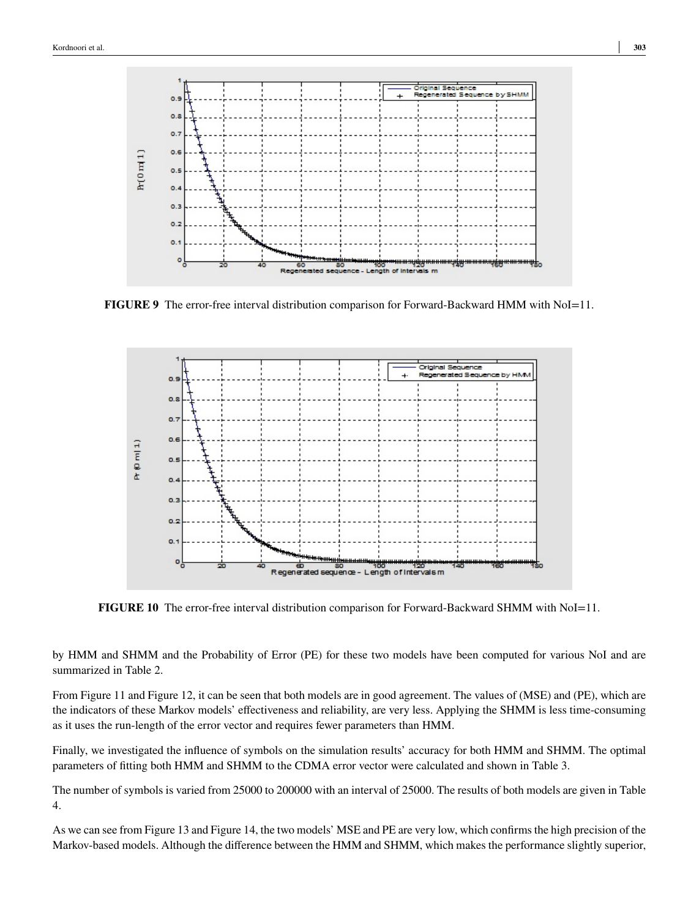

**FIGURE 9** The error-free interval distribution comparison for Forward-Backward HMM with NoI=11.



**FIGURE 10** The error-free interval distribution comparison for Forward-Backward SHMM with NoI=11.

by HMM and SHMM and the Probability of Error (PE) for these two models have been computed for various NoI and are summarized in Table 2.

From Figure 11 and Figure 12, it can be seen that both models are in good agreement. The values of (MSE) and (PE), which are the indicators of these Markov models' effectiveness and reliability, are very less. Applying the SHMM is less time-consuming as it uses the run-length of the error vector and requires fewer parameters than HMM.

Finally, we investigated the influence of symbols on the simulation results' accuracy for both HMM and SHMM. The optimal parameters of fitting both HMM and SHMM to the CDMA error vector were calculated and shown in Table 3.

The number of symbols is varied from 25000 to 200000 with an interval of 25000. The results of both models are given in Table 4.

As we can see from Figure 13 and Figure 14, the two models' MSE and PE are very low, which confirms the high precision of the Markov-based models. Although the difference between the HMM and SHMM, which makes the performance slightly superior,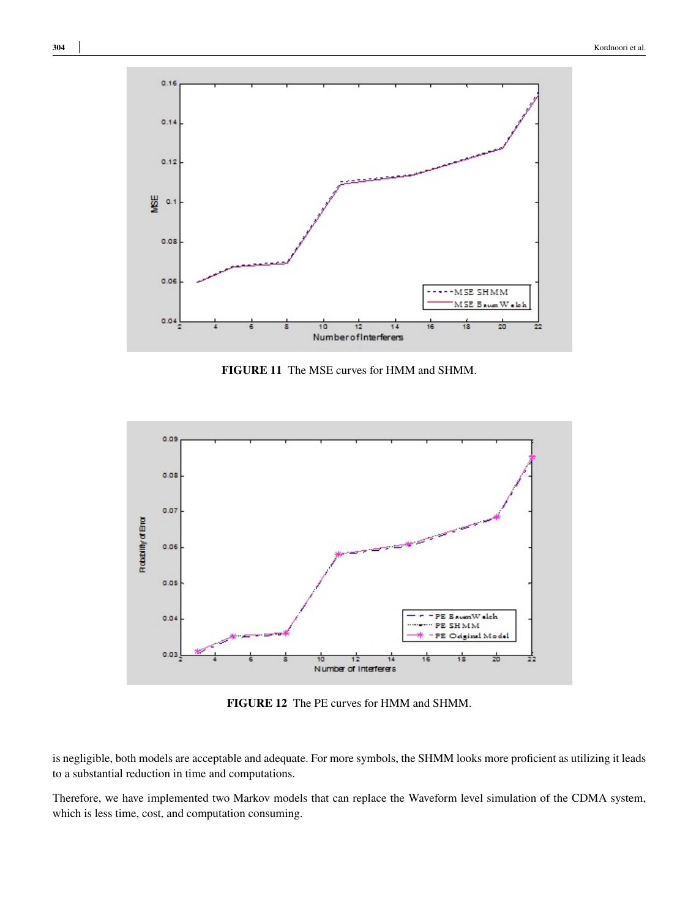

**FIGURE 11** The MSE curves for HMM and SHMM.



**FIGURE 12** The PE curves for HMM and SHMM.

is negligible, both models are acceptable and adequate. For more symbols, the SHMM looks more proficient as utilizing it leads to a substantial reduction in time and computations.

Therefore, we have implemented two Markov models that can replace the Waveform level simulation of the CDMA system, which is less time, cost, and computation consuming.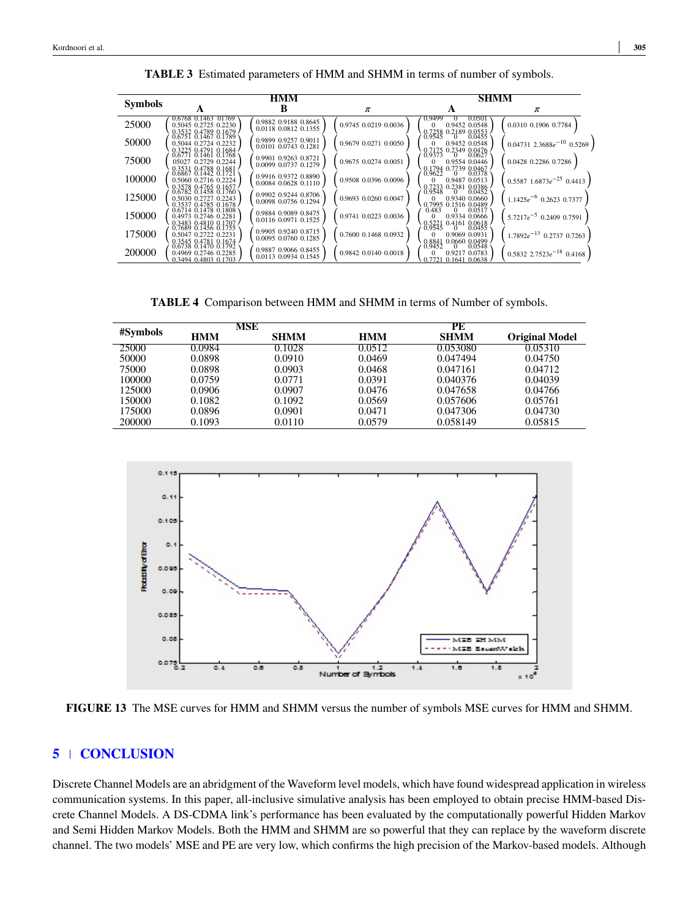|                | HMM                                                                  |                                              |                      | <b>SHMM</b>                                                             |                                   |
|----------------|----------------------------------------------------------------------|----------------------------------------------|----------------------|-------------------------------------------------------------------------|-----------------------------------|
| <b>Symbols</b> |                                                                      |                                              | π                    |                                                                         | π                                 |
| 25000          | 0.6768 0.1463 01769<br>0.5045 0.2725 0.2230<br>0.3532 0.4789 0.1679  | 0.9882 0.9188 0.8645<br>0.0118 0.0812 0.1355 | 0.9745 0.0219 0.0036 | 0.9499<br>0.0501<br>0.9452 0.0548<br>$^{\circ}$<br>0.7258 0.2189 0.0553 | 0.0310 0.1906 0.7784              |
| 50000          | 0.6751 0.1467 0.1789<br>0.5044 0.2724 0.2232                         | 0.9899 0.9257 0.9011<br>0.0101 0.0743 0.1281 | 0.9679 0.0271 0.0050 | 0.9545<br>0.0455<br>$\Omega$<br>0.9452 0.0548<br>0.7175 0.2349 0.0476   | $0.04731$ 2.3688 $e^{-10}$ 0.5269 |
| 75000          | 0.3225 0.4791 0.1684<br>05027 0.2729 0.2244                          | 0.9901 0.9263 0.8721<br>0.0099 0.0737 0.1279 | 0.9675 0.0274 0.0051 | 0.9554 0.0446<br>0.1794 0.7739 0.0467                                   | 0.0428 0.2286 0.7286              |
| 100000         | 0.3531 0.4788 0.1681<br>0.5060 0.2716 0.2224<br>0.3578 0.4765 0.1657 | 0.9916 0.9372 0.8890<br>0.0084 0.0628 0.1110 | 0.9508 0.0396 0.0096 | 0.9487 0.0513<br>0.7233 0.2381 0.0386                                   | $0.5587$ 1.6873 $e^{-25}$ 0.4413  |
| 125000         | 0.6782 0.1458 0.1760<br>0.5030 0.2727 0.2243                         | 0.9902 0.9244 0.8706<br>0.0098 0.0756 0.1294 | 0.9693 0.0260 0.0047 | 0.9340 0.0660<br>0.7995 0.1516 0.0489 0.483                             | $1.1425e^{-6}$ 0.2623 0.7377      |
| 150000         | 0.3537 0.4785 0.1678<br>0.4973 0.2746 0.2281                         | 0.9884 0.9089 0.8475<br>0.0116 0.0971 0.1525 | 0.9741 0.0223 0.0036 | 0.9334 0.0666<br>$\Omega$                                               | $5.7217e^{-5}$ 0.2409 0.7591      |
| 175000         | 0.3483 0.4810 0.1797<br>0.5047 0.2722 0.2231                         | 0.9905 0.9240 0.8715<br>0.0095 0.0760 0.1285 | 0.7600 0.1468 0.0932 | 8.5221<br>0.4161 0.0618<br>0.9069 0.0931<br>$^{\circ}$                  | $1.7892e^{-13}$ 0.2737 0.7263     |
| 200000         | 0.3545 0.4781 0.1674<br>0.4969 0.2746 0.2285<br>0.3494 0.4803 0.1703 | 0.9887 0.9066 0.8455<br>0.0113 0.0934 0.1545 | 0.9842 0.0140 0.0018 | $0.0660$ $0.0499$<br>0.8841<br>0.9217 0.0783<br>0.7721 0.1641 0.0638    | $0.5832$ 2.7523 $e^{-18}$ 0.4168  |

**TABLE 3** Estimated parameters of HMM and SHMM in terms of number of symbols.

**TABLE 4** Comparison between HMM and SHMM in terms of Number of symbols.

|          | MSE        |             | PE         |             |                       |
|----------|------------|-------------|------------|-------------|-----------------------|
| #Symbols | <b>HMM</b> | <b>SHMM</b> | <b>HMM</b> | <b>SHMM</b> | <b>Original Model</b> |
| 25000    | 0.0984     | 0.1028      | 0.0512     | 0.053080    | 0.05310               |
| 50000    | 0.0898     | 0.0910      | 0.0469     | 0.047494    | 0.04750               |
| 75000    | 0.0898     | 0.0903      | 0.0468     | 0.047161    | 0.04712               |
| 100000   | 0.0759     | 0.0771      | 0.0391     | 0.040376    | 0.04039               |
| 125000   | 0.0906     | 0.0907      | 0.0476     | 0.047658    | 0.04766               |
| 150000   | 0.1082     | 0.1092      | 0.0569     | 0.057606    | 0.05761               |
| 175000   | 0.0896     | 0.0901      | 0.0471     | 0.047306    | 0.04730               |
| 200000   | 0.1093     | 0.0110      | 0.0579     | 0.058149    | 0.05815               |



**FIGURE 13** The MSE curves for HMM and SHMM versus the number of symbols MSE curves for HMM and SHMM.

## **5 CONCLUSION**

Discrete Channel Models are an abridgment of the Waveform level models, which have found widespread application in wireless communication systems. In this paper, all-inclusive simulative analysis has been employed to obtain precise HMM-based Discrete Channel Models. A DS-CDMA link's performance has been evaluated by the computationally powerful Hidden Markov and Semi Hidden Markov Models. Both the HMM and SHMM are so powerful that they can replace by the waveform discrete channel. The two models' MSE and PE are very low, which confirms the high precision of the Markov-based models. Although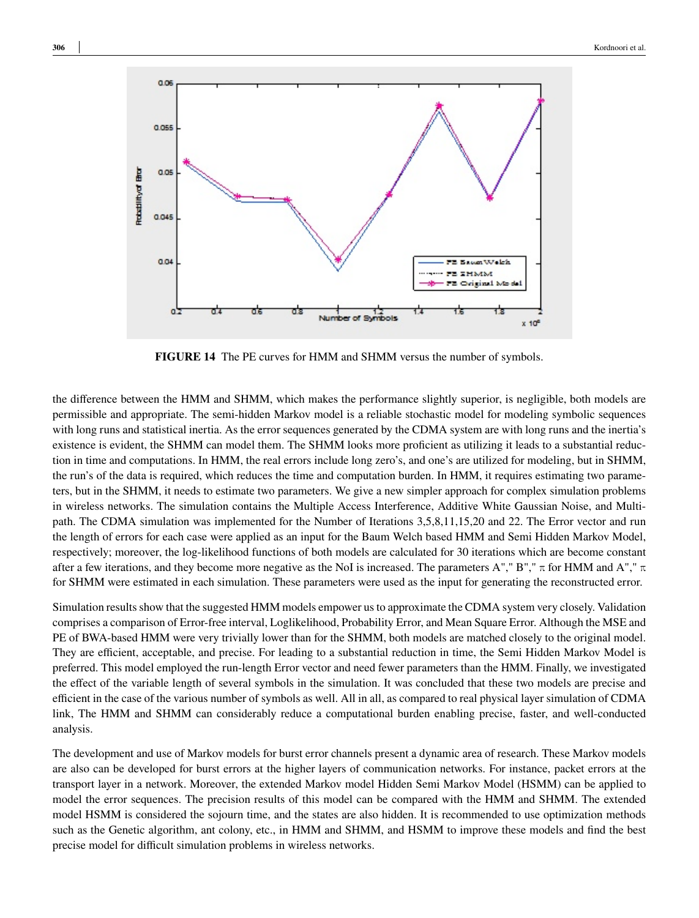

**FIGURE 14** The PE curves for HMM and SHMM versus the number of symbols.

the difference between the HMM and SHMM, which makes the performance slightly superior, is negligible, both models are permissible and appropriate. The semi-hidden Markov model is a reliable stochastic model for modeling symbolic sequences with long runs and statistical inertia. As the error sequences generated by the CDMA system are with long runs and the inertia's existence is evident, the SHMM can model them. The SHMM looks more proficient as utilizing it leads to a substantial reduction in time and computations. In HMM, the real errors include long zero's, and one's are utilized for modeling, but in SHMM, the run's of the data is required, which reduces the time and computation burden. In HMM, it requires estimating two parameters, but in the SHMM, it needs to estimate two parameters. We give a new simpler approach for complex simulation problems in wireless networks. The simulation contains the Multiple Access Interference, Additive White Gaussian Noise, and Multipath. The CDMA simulation was implemented for the Number of Iterations 3,5,8,11,15,20 and 22. The Error vector and run the length of errors for each case were applied as an input for the Baum Welch based HMM and Semi Hidden Markov Model, respectively; moreover, the log-likelihood functions of both models are calculated for 30 iterations which are become constant after a few iterations, and they become more negative as the NoI is increased. The parameters A"," B","  $\pi$  for HMM and A","  $\pi$ for SHMM were estimated in each simulation. These parameters were used as the input for generating the reconstructed error.

Simulation results show that the suggested HMM models empower us to approximate the CDMA system very closely. Validation comprises a comparison of Error-free interval, Loglikelihood, Probability Error, and Mean Square Error. Although the MSE and PE of BWA-based HMM were very trivially lower than for the SHMM, both models are matched closely to the original model. They are efficient, acceptable, and precise. For leading to a substantial reduction in time, the Semi Hidden Markov Model is preferred. This model employed the run-length Error vector and need fewer parameters than the HMM. Finally, we investigated the effect of the variable length of several symbols in the simulation. It was concluded that these two models are precise and efficient in the case of the various number of symbols as well. All in all, as compared to real physical layer simulation of CDMA link, The HMM and SHMM can considerably reduce a computational burden enabling precise, faster, and well-conducted analysis.

The development and use of Markov models for burst error channels present a dynamic area of research. These Markov models are also can be developed for burst errors at the higher layers of communication networks. For instance, packet errors at the transport layer in a network. Moreover, the extended Markov model Hidden Semi Markov Model (HSMM) can be applied to model the error sequences. The precision results of this model can be compared with the HMM and SHMM. The extended model HSMM is considered the sojourn time, and the states are also hidden. It is recommended to use optimization methods such as the Genetic algorithm, ant colony, etc., in HMM and SHMM, and HSMM to improve these models and find the best precise model for difficult simulation problems in wireless networks.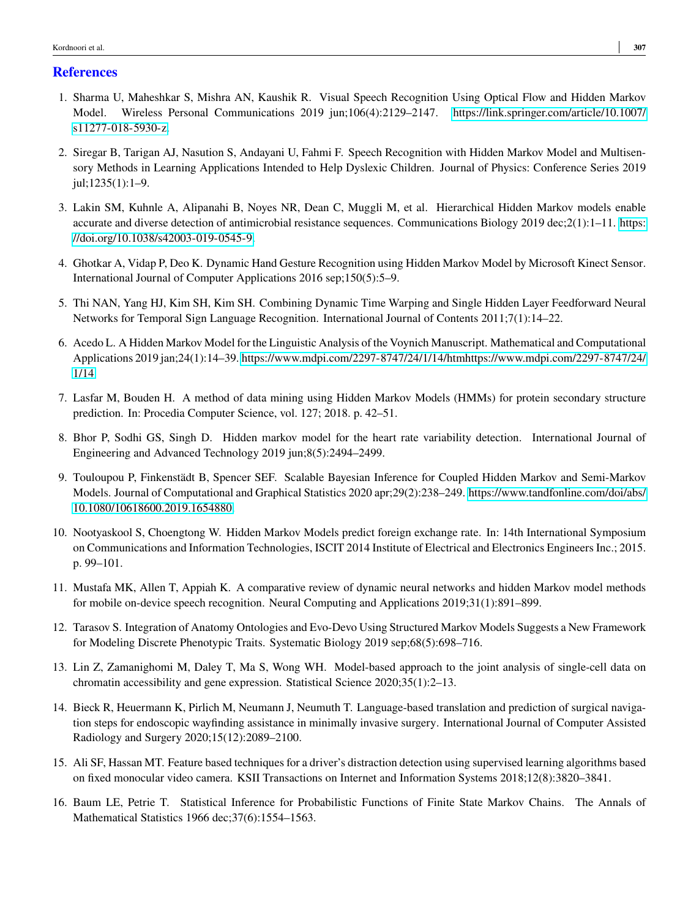## **References**

- <span id="page-12-0"></span>1. Sharma U, Maheshkar S, Mishra AN, Kaushik R. Visual Speech Recognition Using Optical Flow and Hidden Markov Model. Wireless Personal Communications 2019 jun;106(4):2129–2147. [https://link.springer.com/article/10.1007/](https://link.springer.com/article/10.1007/s11277-018-5930-z) [s11277-018-5930-z.](https://link.springer.com/article/10.1007/s11277-018-5930-z)
- <span id="page-12-1"></span>2. Siregar B, Tarigan AJ, Nasution S, Andayani U, Fahmi F. Speech Recognition with Hidden Markov Model and Multisensory Methods in Learning Applications Intended to Help Dyslexic Children. Journal of Physics: Conference Series 2019 jul;1235(1):1–9.
- <span id="page-12-2"></span>3. Lakin SM, Kuhnle A, Alipanahi B, Noyes NR, Dean C, Muggli M, et al. Hierarchical Hidden Markov models enable accurate and diverse detection of antimicrobial resistance sequences. Communications Biology 2019 dec;2(1):1–11. [https:](https://doi.org/10.1038/s42003-019-0545-9) [//doi.org/10.1038/s42003-019-0545-9.](https://doi.org/10.1038/s42003-019-0545-9)
- <span id="page-12-3"></span>4. Ghotkar A, Vidap P, Deo K. Dynamic Hand Gesture Recognition using Hidden Markov Model by Microsoft Kinect Sensor. International Journal of Computer Applications 2016 sep;150(5):5–9.
- <span id="page-12-4"></span>5. Thi NAN, Yang HJ, Kim SH, Kim SH. Combining Dynamic Time Warping and Single Hidden Layer Feedforward Neural Networks for Temporal Sign Language Recognition. International Journal of Contents 2011;7(1):14–22.
- <span id="page-12-5"></span>6. Acedo L. A Hidden Markov Model for the Linguistic Analysis of the Voynich Manuscript. Mathematical and Computational Applications 2019 jan;24(1):14–39. [https://www.mdpi.com/2297-8747/24/1/14/htmhttps://www.mdpi.com/2297-8747/24/](https://www.mdpi.com/2297-8747/24/1/14/htm https://www.mdpi.com/2297-8747/24/1/14) [1/14.](https://www.mdpi.com/2297-8747/24/1/14/htm https://www.mdpi.com/2297-8747/24/1/14)
- <span id="page-12-6"></span>7. Lasfar M, Bouden H. A method of data mining using Hidden Markov Models (HMMs) for protein secondary structure prediction. In: Procedia Computer Science, vol. 127; 2018. p. 42–51.
- <span id="page-12-7"></span>8. Bhor P, Sodhi GS, Singh D. Hidden markov model for the heart rate variability detection. International Journal of Engineering and Advanced Technology 2019 jun;8(5):2494–2499.
- <span id="page-12-8"></span>9. Touloupou P, Finkenstädt B, Spencer SEF. Scalable Bayesian Inference for Coupled Hidden Markov and Semi-Markov Models. Journal of Computational and Graphical Statistics 2020 apr;29(2):238–249. [https://www.tandfonline.com/doi/abs/](https://www.tandfonline.com/doi/abs/10.1080/10618600.2019.1654880) [10.1080/10618600.2019.1654880.](https://www.tandfonline.com/doi/abs/10.1080/10618600.2019.1654880)
- <span id="page-12-9"></span>10. Nootyaskool S, Choengtong W. Hidden Markov Models predict foreign exchange rate. In: 14th International Symposium on Communications and Information Technologies, ISCIT 2014 Institute of Electrical and Electronics Engineers Inc.; 2015. p. 99–101.
- <span id="page-12-10"></span>11. Mustafa MK, Allen T, Appiah K. A comparative review of dynamic neural networks and hidden Markov model methods for mobile on-device speech recognition. Neural Computing and Applications 2019;31(1):891–899.
- <span id="page-12-11"></span>12. Tarasov S. Integration of Anatomy Ontologies and Evo-Devo Using Structured Markov Models Suggests a New Framework for Modeling Discrete Phenotypic Traits. Systematic Biology 2019 sep;68(5):698–716.
- <span id="page-12-12"></span>13. Lin Z, Zamanighomi M, Daley T, Ma S, Wong WH. Model-based approach to the joint analysis of single-cell data on chromatin accessibility and gene expression. Statistical Science 2020;35(1):2–13.
- <span id="page-12-13"></span>14. Bieck R, Heuermann K, Pirlich M, Neumann J, Neumuth T. Language-based translation and prediction of surgical navigation steps for endoscopic wayfinding assistance in minimally invasive surgery. International Journal of Computer Assisted Radiology and Surgery 2020;15(12):2089–2100.
- <span id="page-12-14"></span>15. Ali SF, Hassan MT. Feature based techniques for a driver's distraction detection using supervised learning algorithms based on fixed monocular video camera. KSII Transactions on Internet and Information Systems 2018;12(8):3820–3841.
- <span id="page-12-15"></span>16. Baum LE, Petrie T. Statistical Inference for Probabilistic Functions of Finite State Markov Chains. The Annals of Mathematical Statistics 1966 dec;37(6):1554–1563.